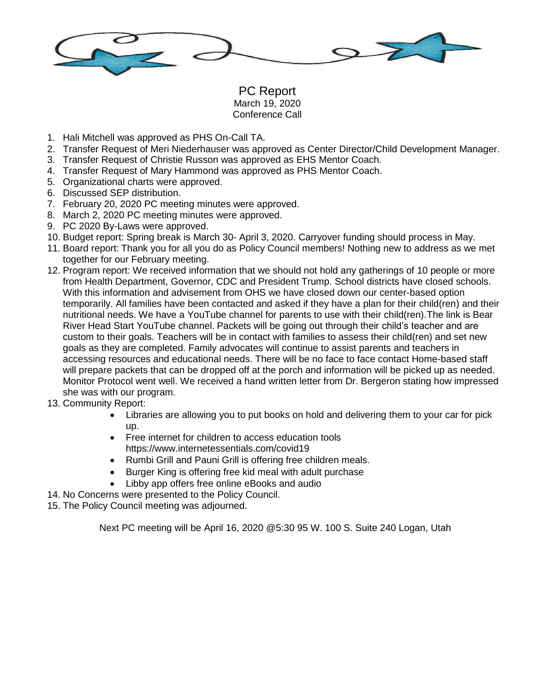

PC Report March 19, 2020 Conference Call

- 1. Hali Mitchell was approved as PHS On-Call TA.
- 2. Transfer Request of Meri Niederhauser was approved as Center Director/Child Development Manager.
- 3. Transfer Request of Christie Russon was approved as EHS Mentor Coach.
- 4. Transfer Request of Mary Hammond was approved as PHS Mentor Coach.
- 5. Organizational charts were approved.
- 6. Discussed SEP distribution.
- 7. February 20, 2020 PC meeting minutes were approved.
- 8. March 2, 2020 PC meeting minutes were approved.
- 9. PC 2020 By-Laws were approved.
- 10. Budget report: Spring break is March 30- April 3, 2020. Carryover funding should process in May.
- 11. Board report: Thank you for all you do as Policy Council members! Nothing new to address as we met together for our February meeting.
- 12. Program report: We received information that we should not hold any gatherings of 10 people or more from Health Department, Governor, CDC and President Trump. School districts have closed schools. With this information and advisement from OHS we have closed down our center-based option temporarily. All families have been contacted and asked if they have a plan for their child(ren) and their nutritional needs. We have a YouTube channel for parents to use with their child(ren).The link is Bear River Head Start YouTube channel. Packets will be going out through their child's teacher and are custom to their goals. Teachers will be in contact with families to assess their child(ren) and set new goals as they are completed. Family advocates will continue to assist parents and teachers in accessing resources and educational needs. There will be no face to face contact Home-based staff will prepare packets that can be dropped off at the porch and information will be picked up as needed. Monitor Protocol went well. We received a hand written letter from Dr. Bergeron stating how impressed she was with our program.
- 13. Community Report:
	- Libraries are allowing you to put books on hold and delivering them to your car for pick up.
	- Free internet for children to access education tools https://www.internetessentials.com/covid19
	- Rumbi Grill and Pauni Grill is offering free children meals.
	- Burger King is offering free kid meal with adult purchase
	- Libby app offers free online eBooks and audio
- 14. No Concerns were presented to the Policy Council.
- 15. The Policy Council meeting was adjourned.

Next PC meeting will be April 16, 2020 @5:30 95 W. 100 S. Suite 240 Logan, Utah